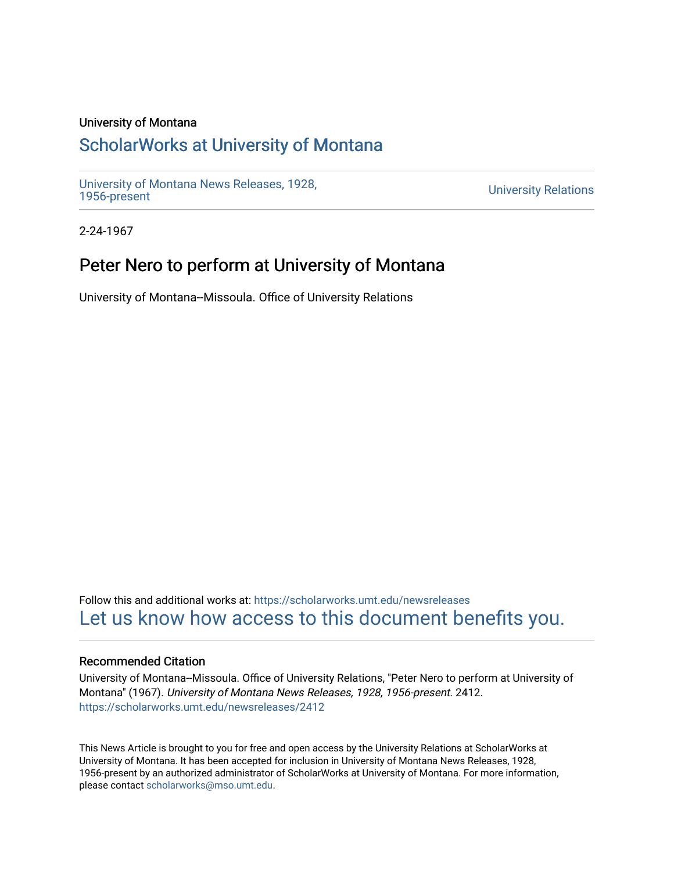## University of Montana

# [ScholarWorks at University of Montana](https://scholarworks.umt.edu/)

[University of Montana News Releases, 1928,](https://scholarworks.umt.edu/newsreleases) 

**University Relations** 

2-24-1967

## Peter Nero to perform at University of Montana

University of Montana--Missoula. Office of University Relations

Follow this and additional works at: [https://scholarworks.umt.edu/newsreleases](https://scholarworks.umt.edu/newsreleases?utm_source=scholarworks.umt.edu%2Fnewsreleases%2F2412&utm_medium=PDF&utm_campaign=PDFCoverPages) [Let us know how access to this document benefits you.](https://goo.gl/forms/s2rGfXOLzz71qgsB2) 

### Recommended Citation

University of Montana--Missoula. Office of University Relations, "Peter Nero to perform at University of Montana" (1967). University of Montana News Releases, 1928, 1956-present. 2412. [https://scholarworks.umt.edu/newsreleases/2412](https://scholarworks.umt.edu/newsreleases/2412?utm_source=scholarworks.umt.edu%2Fnewsreleases%2F2412&utm_medium=PDF&utm_campaign=PDFCoverPages) 

This News Article is brought to you for free and open access by the University Relations at ScholarWorks at University of Montana. It has been accepted for inclusion in University of Montana News Releases, 1928, 1956-present by an authorized administrator of ScholarWorks at University of Montana. For more information, please contact [scholarworks@mso.umt.edu.](mailto:scholarworks@mso.umt.edu)